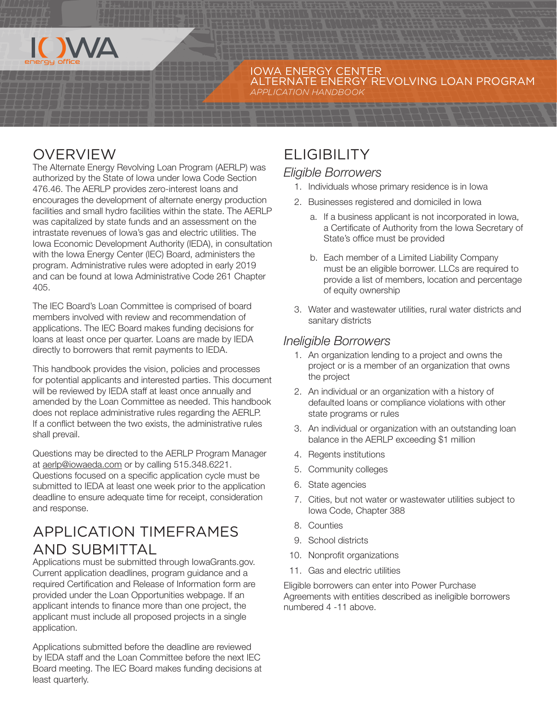

#### IOWA ENERGY CENTER ALTERNATE ENERGY REVOLVING LOAN PROGRAM *APPLICATION HANDBOOK*

# OVERVIEW

The Alternate Energy Revolving Loan Program (AERLP) was authorized by the State of Iowa under Iowa Code Section 476.46. The AERLP provides zero-interest loans and encourages the development of alternate energy production facilities and small hydro facilities within the state. The AERLP was capitalized by state funds and an assessment on the intrastate revenues of Iowa's gas and electric utilities. The Iowa Economic Development Authority (IEDA), in consultation with the Iowa Energy Center (IEC) Board, administers the program. Administrative rules were adopted in early 2019 and can be found at Iowa Administrative Code 261 Chapter 405.

The IEC Board's Loan Committee is comprised of board members involved with review and recommendation of applications. The IEC Board makes funding decisions for loans at least once per quarter. Loans are made by IEDA directly to borrowers that remit payments to IEDA.

This handbook provides the vision, policies and processes for potential applicants and interested parties. This document will be reviewed by IEDA staff at least once annually and amended by the Loan Committee as needed. This handbook does not replace administrative rules regarding the AERLP. If a conflict between the two exists, the administrative rules shall prevail.

Questions may be directed to the AERLP Program Manager at [aerlp@iowaeda.com](mailto:aerlp%40iowaeda.com?subject=) or by calling 515.348.6221. Questions focused on a specific application cycle must be submitted to IEDA at least one week prior to the application deadline to ensure adequate time for receipt, consideration and response.

## APPLICATION TIMEFRAMES AND SUBMITTAL

Applications must be submitted through IowaGrants.gov. Current application deadlines, program guidance and a required Certification and Release of Information form are provided under the Loan Opportunities webpage. If an applicant intends to finance more than one project, the applicant must include all proposed projects in a single application.

Applications submitted before the deadline are reviewed by IEDA staff and the Loan Committee before the next IEC Board meeting. The IEC Board makes funding decisions at least quarterly.

# **ELIGIBILITY**

### *Eligible Borrowers*

- 1. Individuals whose primary residence is in Iowa
- 2. Businesses registered and domiciled in Iowa
	- a. If a business applicant is not incorporated in Iowa, a Certificate of Authority from the Iowa Secretary of State's office must be provided
	- b. Each member of a Limited Liability Company must be an eligible borrower. LLCs are required to provide a list of members, location and percentage of equity ownership
- 3. Water and wastewater utilities, rural water districts and sanitary districts

### *Ineligible Borrowers*

- 1. An organization lending to a project and owns the project or is a member of an organization that owns the project
- 2. An individual or an organization with a history of defaulted loans or compliance violations with other state programs or rules
- 3. An individual or organization with an outstanding loan balance in the AERLP exceeding \$1 million
- 4. Regents institutions
- 5. Community colleges
- 6. State agencies
- 7. Cities, but not water or wastewater utilities subject to Iowa Code, Chapter 388
- 8. Counties
- 9. School districts
- 10. Nonprofit organizations
- 11. Gas and electric utilities

Eligible borrowers can enter into Power Purchase Agreements with entities described as ineligible borrowers numbered 4 -11 above.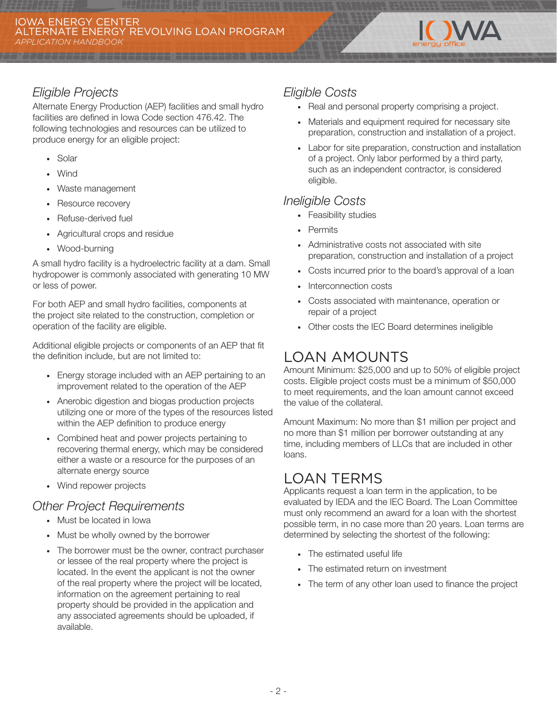

### *Eligible Projects*

Alternate Energy Production (AEP) facilities and small hydro facilities are defined in Iowa Code section 476.42. The following technologies and resources can be utilized to produce energy for an eligible project:

- · Solar
- · Wind
- · Waste management
- · Resource recovery
- · Refuse-derived fuel
- · Agricultural crops and residue
- · Wood-burning

A small hydro facility is a hydroelectric facility at a dam. Small hydropower is commonly associated with generating 10 MW or less of power.

For both AEP and small hydro facilities, components at the project site related to the construction, completion or operation of the facility are eligible.

Additional eligible projects or components of an AEP that fit the definition include, but are not limited to:

- · Energy storage included with an AEP pertaining to an improvement related to the operation of the AEP
- · Anerobic digestion and biogas production projects utilizing one or more of the types of the resources listed within the AEP definition to produce energy
- · Combined heat and power projects pertaining to recovering thermal energy, which may be considered either a waste or a resource for the purposes of an alternate energy source
- · Wind repower projects

#### *Other Project Requirements*

- · Must be located in Iowa
- · Must be wholly owned by the borrower
- · The borrower must be the owner, contract purchaser or lessee of the real property where the project is located. In the event the applicant is not the owner of the real property where the project will be located, information on the agreement pertaining to real property should be provided in the application and any associated agreements should be uploaded, if available.

### *Eligible Costs*

- · Real and personal property comprising a project.
- · Materials and equipment required for necessary site preparation, construction and installation of a project.
- · Labor for site preparation, construction and installation of a project. Only labor performed by a third party, such as an independent contractor, is considered eligible.

### *Ineligible Costs*

- · Feasibility studies
- · Permits
- · Administrative costs not associated with site preparation, construction and installation of a project
- · Costs incurred prior to the board's approval of a loan
- Interconnection costs
- · Costs associated with maintenance, operation or repair of a project
- · Other costs the IEC Board determines ineligible

## LOAN AMOUNTS

Amount Minimum: \$25,000 and up to 50% of eligible project costs. Eligible project costs must be a minimum of \$50,000 to meet requirements, and the loan amount cannot exceed the value of the collateral.

Amount Maximum: No more than \$1 million per project and no more than \$1 million per borrower outstanding at any time, including members of LLCs that are included in other loans.

## LOAN TERMS

Applicants request a loan term in the application, to be evaluated by IEDA and the IEC Board. The Loan Committee must only recommend an award for a loan with the shortest possible term, in no case more than 20 years. Loan terms are determined by selecting the shortest of the following:

- · The estimated useful life
- The estimated return on investment
- · The term of any other loan used to finance the project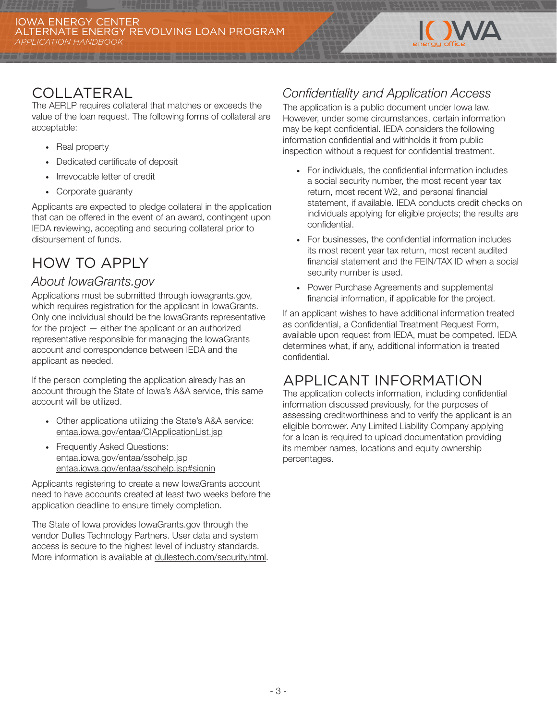

## COLLATERAL

The AERLP requires collateral that matches or exceeds the value of the loan request. The following forms of collateral are acceptable:

- · Real property
- · Dedicated certificate of deposit
- · Irrevocable letter of credit
- · Corporate guaranty

Applicants are expected to pledge collateral in the application that can be offered in the event of an award, contingent upon IEDA reviewing, accepting and securing collateral prior to disbursement of funds.

# HOW TO APPLY

### *About IowaGrants.gov*

Applications must be submitted through iowagrants.gov, which requires registration for the applicant in IowaGrants. Only one individual should be the IowaGrants representative for the project — either the applicant or an authorized representative responsible for managing the IowaGrants account and correspondence between IEDA and the applicant as needed.

If the person completing the application already has an account through the State of Iowa's A&A service, this same account will be utilized.

- · Other applications utilizing the State's A&A service: [entaa.iowa.gov/entaa/CIApplicationList.jsp](http://entaa.iowa.gov/entaa/CIApplicationList.jsp)
- · Frequently Asked Questions: [entaa.iowa.gov/entaa/ssohelp.jsp](http://entaa.iowa.gov/entaa/ssohelp.jsp) [entaa.iowa.gov/entaa/ssohelp.jsp#signin](http://entaa.iowa.gov/entaa/ssohelp.jsp#signin)

Applicants registering to create a new IowaGrants account need to have accounts created at least two weeks before the application deadline to ensure timely completion.

The State of Iowa provides IowaGrants.gov through the vendor Dulles Technology Partners. User data and system access is secure to the highest level of industry standards. More information is available at [dullestech.com/security.html](http://dullestech.com/security.html).

### *Confidentiality and Application Access*

The application is a public document under Iowa law. However, under some circumstances, certain information may be kept confidential. IEDA considers the following information confidential and withholds it from public inspection without a request for confidential treatment.

- · For individuals, the confidential information includes a social security number, the most recent year tax return, most recent W2, and personal financial statement, if available. IEDA conducts credit checks on individuals applying for eligible projects; the results are confidential.
- · For businesses, the confidential information includes its most recent year tax return, most recent audited financial statement and the FEIN/TAX ID when a social security number is used.
- · Power Purchase Agreements and supplemental financial information, if applicable for the project.

If an applicant wishes to have additional information treated as confidential, a Confidential Treatment Request Form, available upon request from IEDA, must be competed. IEDA determines what, if any, additional information is treated confidential.

## APPLICANT INFORMATION

The application collects information, including confidential information discussed previously, for the purposes of assessing creditworthiness and to verify the applicant is an eligible borrower. Any Limited Liability Company applying for a loan is required to upload documentation providing its member names, locations and equity ownership percentages.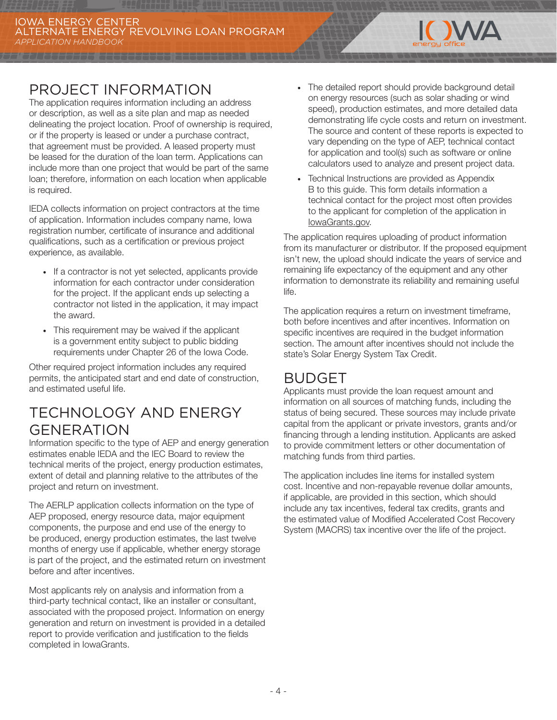

The application requires information including an address or description, as well as a site plan and map as needed delineating the project location. Proof of ownership is required, or if the property is leased or under a purchase contract, that agreement must be provided. A leased property must be leased for the duration of the loan term. Applications can include more than one project that would be part of the same loan; therefore, information on each location when applicable is required.

IEDA collects information on project contractors at the time of application. Information includes company name, Iowa registration number, certificate of insurance and additional qualifications, such as a certification or previous project experience, as available.

- · If a contractor is not yet selected, applicants provide information for each contractor under consideration for the project. If the applicant ends up selecting a contractor not listed in the application, it may impact the award.
- · This requirement may be waived if the applicant is a government entity subject to public bidding requirements under Chapter 26 of the Iowa Code.

Other required project information includes any required permits, the anticipated start and end date of construction, and estimated useful life.

## TECHNOLOGY AND ENERGY GENERATION

Information specific to the type of AEP and energy generation estimates enable IEDA and the IEC Board to review the technical merits of the project, energy production estimates, extent of detail and planning relative to the attributes of the project and return on investment.

The AERLP application collects information on the type of AEP proposed, energy resource data, major equipment components, the purpose and end use of the energy to be produced, energy production estimates, the last twelve months of energy use if applicable, whether energy storage is part of the project, and the estimated return on investment before and after incentives.

Most applicants rely on analysis and information from a third-party technical contact, like an installer or consultant, associated with the proposed project. Information on energy generation and return on investment is provided in a detailed report to provide verification and justification to the fields completed in IowaGrants.

The detailed report should provide background detail on energy resources (such as solar shading or wind speed), production estimates, and more detailed data demonstrating life cycle costs and return on investment. The source and content of these reports is expected to vary depending on the type of AEP, technical contact for application and tool(s) such as software or online calculators used to analyze and present project data.

**IOWA** 

· Technical Instructions are provided as Appendix B to this guide. This form details information a technical contact for the project most often provides to the applicant for completion of the application in [IowaGrants.gov](http://IowaGrants.gov).

The application requires uploading of product information from its manufacturer or distributor. If the proposed equipment isn't new, the upload should indicate the years of service and remaining life expectancy of the equipment and any other information to demonstrate its reliability and remaining useful life.

The application requires a return on investment timeframe, both before incentives and after incentives. Information on specific incentives are required in the budget information section. The amount after incentives should not include the state's Solar Energy System Tax Credit.

## BUDGET

Applicants must provide the loan request amount and information on all sources of matching funds, including the status of being secured. These sources may include private capital from the applicant or private investors, grants and/or financing through a lending institution. Applicants are asked to provide commitment letters or other documentation of matching funds from third parties.

The application includes line items for installed system cost. Incentive and non-repayable revenue dollar amounts, if applicable, are provided in this section, which should include any tax incentives, federal tax credits, grants and the estimated value of Modified Accelerated Cost Recovery System (MACRS) tax incentive over the life of the project.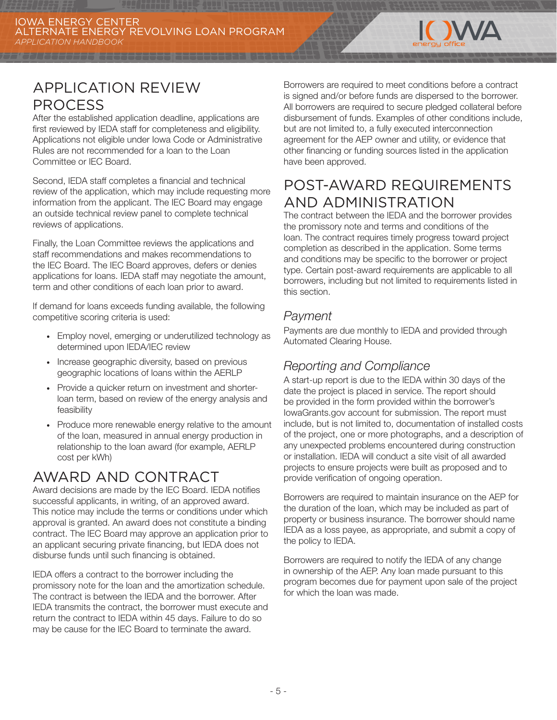

# APPLICATION REVIEW PROCESS

After the established application deadline, applications are first reviewed by IEDA staff for completeness and eligibility. Applications not eligible under Iowa Code or Administrative Rules are not recommended for a loan to the Loan Committee or IEC Board.

Second, IEDA staff completes a financial and technical review of the application, which may include requesting more information from the applicant. The IEC Board may engage an outside technical review panel to complete technical reviews of applications.

Finally, the Loan Committee reviews the applications and staff recommendations and makes recommendations to the IEC Board. The IEC Board approves, defers or denies applications for loans. IEDA staff may negotiate the amount, term and other conditions of each loan prior to award.

If demand for loans exceeds funding available, the following competitive scoring criteria is used:

- · Employ novel, emerging or underutilized technology as determined upon IEDA/IEC review
- · Increase geographic diversity, based on previous geographic locations of loans within the AERLP
- · Provide a quicker return on investment and shorterloan term, based on review of the energy analysis and feasibility
- · Produce more renewable energy relative to the amount of the loan, measured in annual energy production in relationship to the loan award (for example, AERLP cost per kWh)

# AWARD AND CONTRACT

Award decisions are made by the IEC Board. IEDA notifies successful applicants, in writing, of an approved award. This notice may include the terms or conditions under which approval is granted. An award does not constitute a binding contract. The IEC Board may approve an application prior to an applicant securing private financing, but IEDA does not disburse funds until such financing is obtained.

IEDA offers a contract to the borrower including the promissory note for the loan and the amortization schedule. The contract is between the IEDA and the borrower. After IEDA transmits the contract, the borrower must execute and return the contract to IEDA within 45 days. Failure to do so may be cause for the IEC Board to terminate the award.

Borrowers are required to meet conditions before a contract is signed and/or before funds are dispersed to the borrower. All borrowers are required to secure pledged collateral before disbursement of funds. Examples of other conditions include, but are not limited to, a fully executed interconnection agreement for the AEP owner and utility, or evidence that other financing or funding sources listed in the application have been approved.

# POST-AWARD REQUIREMENTS AND ADMINISTRATION

The contract between the IEDA and the borrower provides the promissory note and terms and conditions of the loan. The contract requires timely progress toward project completion as described in the application. Some terms and conditions may be specific to the borrower or project type. Certain post-award requirements are applicable to all borrowers, including but not limited to requirements listed in this section.

### *Payment*

Payments are due monthly to IEDA and provided through Automated Clearing House.

### *Reporting and Compliance*

A start-up report is due to the IEDA within 30 days of the date the project is placed in service. The report should be provided in the form provided within the borrower's IowaGrants.gov account for submission. The report must include, but is not limited to, documentation of installed costs of the project, one or more photographs, and a description of any unexpected problems encountered during construction or installation. IEDA will conduct a site visit of all awarded projects to ensure projects were built as proposed and to provide verification of ongoing operation.

Borrowers are required to maintain insurance on the AEP for the duration of the loan, which may be included as part of property or business insurance. The borrower should name IEDA as a loss payee, as appropriate, and submit a copy of the policy to IEDA.

Borrowers are required to notify the IEDA of any change in ownership of the AEP. Any loan made pursuant to this program becomes due for payment upon sale of the project for which the loan was made.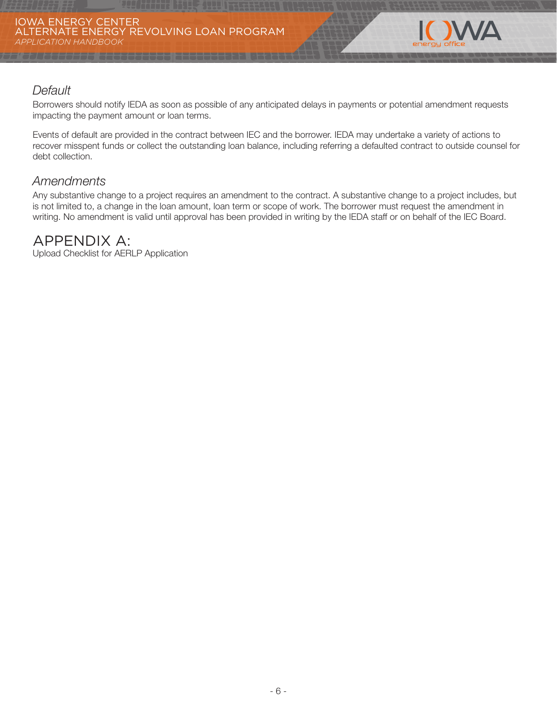

### *Default*

Borrowers should notify IEDA as soon as possible of any anticipated delays in payments or potential amendment requests impacting the payment amount or loan terms.

Events of default are provided in the contract between IEC and the borrower. IEDA may undertake a variety of actions to recover misspent funds or collect the outstanding loan balance, including referring a defaulted contract to outside counsel for debt collection.

### *Amendments*

Any substantive change to a project requires an amendment to the contract. A substantive change to a project includes, but is not limited to, a change in the loan amount, loan term or scope of work. The borrower must request the amendment in writing. No amendment is valid until approval has been provided in writing by the IEDA staff or on behalf of the IEC Board.

### APPENDIX A:

Upload Checklist for AERLP Application